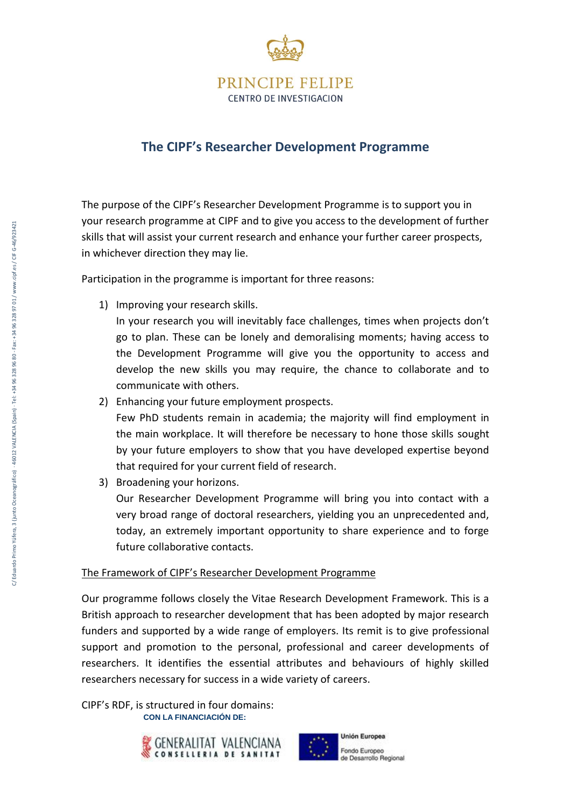

# **The CIPF's Researcher Development Programme**

The purpose of the CIPF's Researcher Development Programme is to support you in your research programme at CIPF and to give you access to the development of further skills that will assist your current research and enhance your further career prospects, in whichever direction they may lie.

Participation in the programme is important for three reasons:

1) Improving your research skills.

In your research you will inevitably face challenges, times when projects don't go to plan. These can be lonely and demoralising moments; having access to the Development Programme will give you the opportunity to access and develop the new skills you may require, the chance to collaborate and to communicate with others.

- 2) Enhancing your future employment prospects. Few PhD students remain in academia; the majority will find employment in the main workplace. It will therefore be necessary to hone those skills sought by your future employers to show that you have developed expertise beyond that required for your current field of research.
- 3) Broadening your horizons.

Our Researcher Development Programme will bring you into contact with a very broad range of doctoral researchers, yielding you an unprecedented and, today, an extremely important opportunity to share experience and to forge future collaborative contacts.

## The Framework of CIPF's Researcher Development Programme

Our programme follows closely the Vitae Research Development Framework. This is a British approach to researcher development that has been adopted by major research funders and supported by a wide range of employers. Its remit is to give professional support and promotion to the personal, professional and career developments of researchers. It identifies the essential attributes and behaviours of highly skilled researchers necessary for success in a wide variety of careers.

 **CON LA FINANCIACIÓN DE:** CIPF's RDF, is structured in four domains:



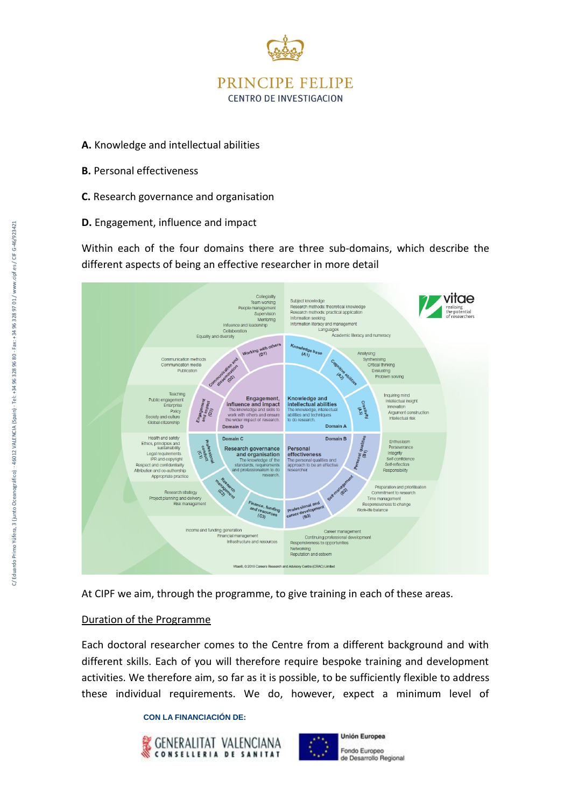

- **A.** Knowledge and intellectual abilities
- **B.** Personal effectiveness
- **C.** Research governance and organisation
- **D.** Engagement, influence and impact

Within each of the four domains there are three sub-domains, which describe the different aspects of being an effective researcher in more detail



At CIPF we aim, through the programme, to give training in each of these areas.

## Duration of the Programme

Each doctoral researcher comes to the Centre from a different background and with different skills. Each of you will therefore require bespoke training and development activities. We therefore aim, so far as it is possible, to be sufficiently flexible to address these individual requirements. We do, however, expect a minimum level of

#### **CON LA FINANCIACIÓN DE:**